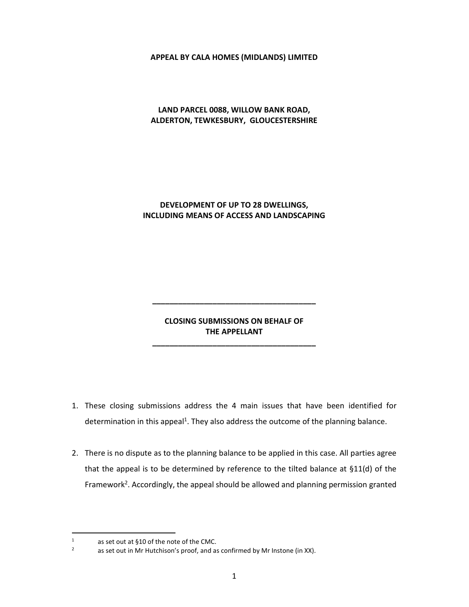# **APPEAL BY CALA HOMES (MIDLANDS) LIMITED**

# **LAND PARCEL 0088, WILLOW BANK ROAD, ALDERTON, TEWKESBURY, GLOUCESTERSHIRE**

# **DEVELOPMENT OF UP TO 28 DWELLINGS, INCLUDING MEANS OF ACCESS AND LANDSCAPING**

# **CLOSING SUBMISSIONS ON BEHALF OF THE APPELLANT**

**\_\_\_\_\_\_\_\_\_\_\_\_\_\_\_\_\_\_\_\_\_\_\_\_\_\_\_\_\_\_\_\_\_\_\_\_\_\_** 

**\_\_\_\_\_\_\_\_\_\_\_\_\_\_\_\_\_\_\_\_\_\_\_\_\_\_\_\_\_\_\_\_\_\_\_\_\_\_** 

- 1. These closing submissions address the 4 main issues that have been identified for determination in this appeal<sup>1</sup>. They also address the outcome of the planning balance.
- 2. There is no dispute as to the planning balance to be applied in this case. All parties agree that the appeal is to be determined by reference to the tilted balance at  $$11(d)$  of the Framework<sup>2</sup>. Accordingly, the appeal should be allowed and planning permission granted

<sup>1</sup> as set out at §10 of the note of the CMC.

<sup>2</sup> as set out in Mr Hutchison's proof, and as confirmed by Mr Instone (in XX).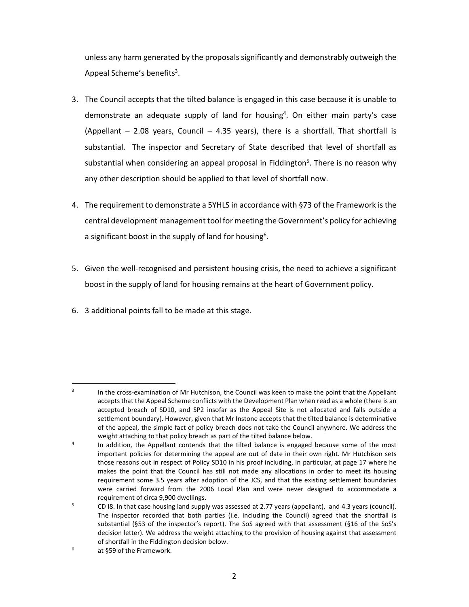unless any harm generated by the proposals significantly and demonstrably outweigh the Appeal Scheme's benefits<sup>3</sup>.

- 3. The Council accepts that the tilted balance is engaged in this case because it is unable to demonstrate an adequate supply of land for housing<sup>4</sup>. On either main party's case (Appellant  $-$  2.08 years, Council  $-$  4.35 years), there is a shortfall. That shortfall is substantial. The inspector and Secretary of State described that level of shortfall as substantial when considering an appeal proposal in Fiddington<sup>5</sup>. There is no reason why any other description should be applied to that level of shortfall now.
- 4. The requirement to demonstrate a 5YHLS in accordance with §73 of the Framework is the central development management tool for meeting the Government's policy for achieving a significant boost in the supply of land for housing<sup>6</sup>.
- 5. Given the well-recognised and persistent housing crisis, the need to achieve a significant boost in the supply of land for housing remains at the heart of Government policy.
- 6. 3 additional points fall to be made at this stage.

<sup>3</sup> In the cross-examination of Mr Hutchison, the Council was keen to make the point that the Appellant accepts that the Appeal Scheme conflicts with the Development Plan when read as a whole (there is an accepted breach of SD10, and SP2 insofar as the Appeal Site is not allocated and falls outside a settlement boundary). However, given that Mr Instone accepts that the tilted balance is determinative of the appeal, the simple fact of policy breach does not take the Council anywhere. We address the weight attaching to that policy breach as part of the tilted balance below.

<sup>4</sup> In addition, the Appellant contends that the tilted balance is engaged because some of the most important policies for determining the appeal are out of date in their own right. Mr Hutchison sets those reasons out in respect of Policy SD10 in his proof including, in particular, at page 17 where he makes the point that the Council has still not made any allocations in order to meet its housing requirement some 3.5 years after adoption of the JCS, and that the existing settlement boundaries were carried forward from the 2006 Local Plan and were never designed to accommodate a requirement of circa 9,900 dwellings.

<sup>5</sup> CD I8. In that case housing land supply was assessed at 2.77 years (appellant), and 4.3 years (council). The inspector recorded that both parties (i.e. including the Council) agreed that the shortfall is substantial (§53 of the inspector's report). The SoS agreed with that assessment (§16 of the SoS's decision letter). We address the weight attaching to the provision of housing against that assessment of shortfall in the Fiddington decision below.

<sup>6</sup> at §59 of the Framework.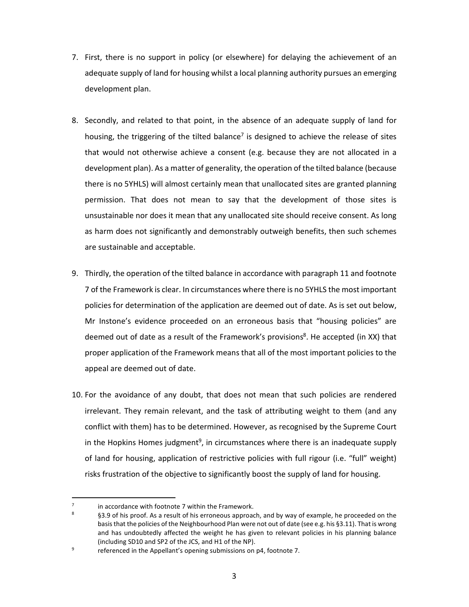- 7. First, there is no support in policy (or elsewhere) for delaying the achievement of an adequate supply of land for housing whilst a local planning authority pursues an emerging development plan.
- 8. Secondly, and related to that point, in the absence of an adequate supply of land for housing, the triggering of the tilted balance<sup>7</sup> is designed to achieve the release of sites that would not otherwise achieve a consent (e.g. because they are not allocated in a development plan). As a matter of generality, the operation of the tilted balance (because there is no 5YHLS) will almost certainly mean that unallocated sites are granted planning permission. That does not mean to say that the development of those sites is unsustainable nor does it mean that any unallocated site should receive consent. As long as harm does not significantly and demonstrably outweigh benefits, then such schemes are sustainable and acceptable.
- 9. Thirdly, the operation of the tilted balance in accordance with paragraph 11 and footnote 7 of the Framework is clear. In circumstances where there is no 5YHLS the most important policies for determination of the application are deemed out of date. As is set out below, Mr Instone's evidence proceeded on an erroneous basis that "housing policies" are deemed out of date as a result of the Framework's provisions<sup>8</sup>. He accepted (in XX) that proper application of the Framework means that all of the most important policies to the appeal are deemed out of date.
- 10. For the avoidance of any doubt, that does not mean that such policies are rendered irrelevant. They remain relevant, and the task of attributing weight to them (and any conflict with them) has to be determined. However, as recognised by the Supreme Court in the Hopkins Homes judgment<sup>9</sup>, in circumstances where there is an inadequate supply of land for housing, application of restrictive policies with full rigour (i.e. "full" weight) risks frustration of the objective to significantly boost the supply of land for housing.

<sup>7</sup> in accordance with footnote 7 within the Framework.

<sup>8</sup> §3.9 of his proof. As a result of his erroneous approach, and by way of example, he proceeded on the basis that the policies of the Neighbourhood Plan were not out of date (see e.g. his §3.11). That is wrong and has undoubtedly affected the weight he has given to relevant policies in his planning balance (including SD10 and SP2 of the JCS, and H1 of the NP).

<sup>9</sup> referenced in the Appellant's opening submissions on p4, footnote 7.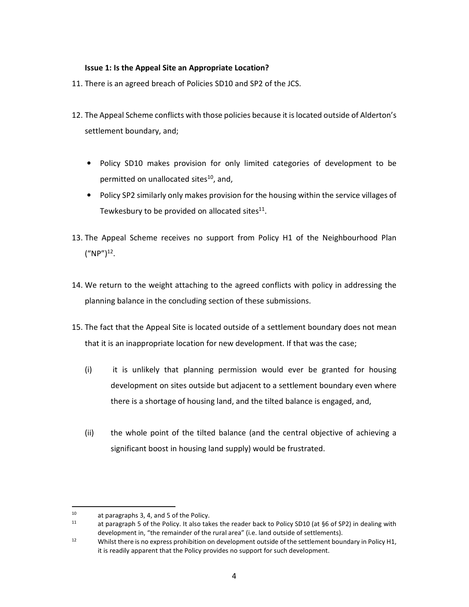# **Issue 1: Is the Appeal Site an Appropriate Location?**

- 11. There is an agreed breach of Policies SD10 and SP2 of the JCS.
- 12. The Appeal Scheme conflicts with those policies because it is located outside of Alderton's settlement boundary, and;
	- Policy SD10 makes provision for only limited categories of development to be permitted on unallocated sites<sup>10</sup>, and,
	- Policy SP2 similarly only makes provision for the housing within the service villages of Tewkesbury to be provided on allocated sites $^{11}$ .
- 13. The Appeal Scheme receives no support from Policy H1 of the Neighbourhood Plan  $("NP")^{12}.$
- 14. We return to the weight attaching to the agreed conflicts with policy in addressing the planning balance in the concluding section of these submissions.
- 15. The fact that the Appeal Site is located outside of a settlement boundary does not mean that it is an inappropriate location for new development. If that was the case;
	- (i) it is unlikely that planning permission would ever be granted for housing development on sites outside but adjacent to a settlement boundary even where there is a shortage of housing land, and the tilted balance is engaged, and,
	- (ii) the whole point of the tilted balance (and the central objective of achieving a significant boost in housing land supply) would be frustrated.

<sup>10</sup> at paragraphs 3, 4, and 5 of the Policy.

at paragraph 5 of the Policy. It also takes the reader back to Policy SD10 (at §6 of SP2) in dealing with development in, "the remainder of the rural area" (i.e. land outside of settlements).

<sup>&</sup>lt;sup>12</sup> Whilst there is no express prohibition on development outside of the settlement boundary in Policy H1, it is readily apparent that the Policy provides no support for such development.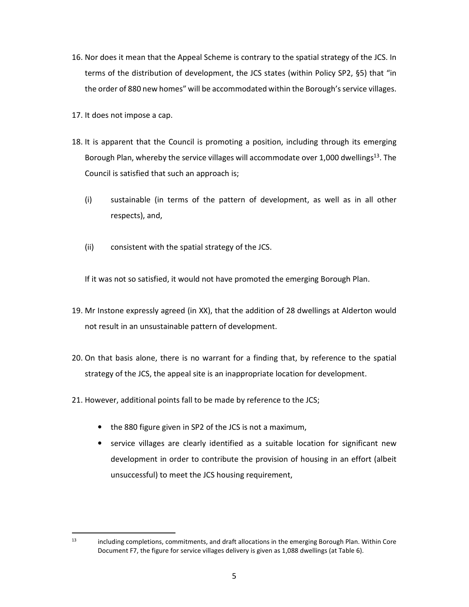- 16. Nor does it mean that the Appeal Scheme is contrary to the spatial strategy of the JCS. In terms of the distribution of development, the JCS states (within Policy SP2, §5) that "in the order of 880 new homes" will be accommodated within the Borough's service villages.
- 17. It does not impose a cap.
- 18. It is apparent that the Council is promoting a position, including through its emerging Borough Plan, whereby the service villages will accommodate over 1,000 dwellings<sup>13</sup>. The Council is satisfied that such an approach is;
	- (i) sustainable (in terms of the pattern of development, as well as in all other respects), and,
	- (ii) consistent with the spatial strategy of the JCS.

If it was not so satisfied, it would not have promoted the emerging Borough Plan.

- 19. Mr Instone expressly agreed (in XX), that the addition of 28 dwellings at Alderton would not result in an unsustainable pattern of development.
- 20. On that basis alone, there is no warrant for a finding that, by reference to the spatial strategy of the JCS, the appeal site is an inappropriate location for development.
- 21. However, additional points fall to be made by reference to the JCS;
	- the 880 figure given in SP2 of the JCS is not a maximum,
	- service villages are clearly identified as a suitable location for significant new development in order to contribute the provision of housing in an effort (albeit unsuccessful) to meet the JCS housing requirement,

<sup>&</sup>lt;sup>13</sup> including completions, commitments, and draft allocations in the emerging Borough Plan. Within Core Document F7, the figure for service villages delivery is given as 1,088 dwellings (at Table 6).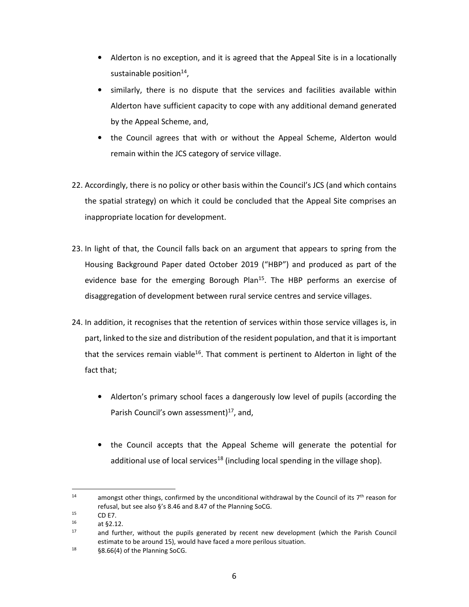- Alderton is no exception, and it is agreed that the Appeal Site is in a locationally sustainable position<sup>14</sup>,
- similarly, there is no dispute that the services and facilities available within Alderton have sufficient capacity to cope with any additional demand generated by the Appeal Scheme, and,
- the Council agrees that with or without the Appeal Scheme, Alderton would remain within the JCS category of service village.
- 22. Accordingly, there is no policy or other basis within the Council's JCS (and which contains the spatial strategy) on which it could be concluded that the Appeal Site comprises an inappropriate location for development.
- 23. In light of that, the Council falls back on an argument that appears to spring from the Housing Background Paper dated October 2019 ("HBP") and produced as part of the evidence base for the emerging Borough Plan<sup>15</sup>. The HBP performs an exercise of disaggregation of development between rural service centres and service villages.
- 24. In addition, it recognises that the retention of services within those service villages is, in part, linked to the size and distribution of the resident population, and that it is important that the services remain viable<sup>16</sup>. That comment is pertinent to Alderton in light of the fact that;
	- Alderton's primary school faces a dangerously low level of pupils (according the Parish Council's own assessment) $17$ , and,
	- the Council accepts that the Appeal Scheme will generate the potential for additional use of local services<sup>18</sup> (including local spending in the village shop).

<sup>&</sup>lt;sup>14</sup> amongst other things, confirmed by the unconditional withdrawal by the Council of its  $7<sup>th</sup>$  reason for refusal, but see also §'s 8.46 and 8.47 of the Planning SoCG.

 $15$  CD E7.

at §2.12.

<sup>&</sup>lt;sup>17</sup> and further, without the pupils generated by recent new development (which the Parish Council estimate to be around 15), would have faced a more perilous situation.

<sup>18</sup> §8.66(4) of the Planning SoCG.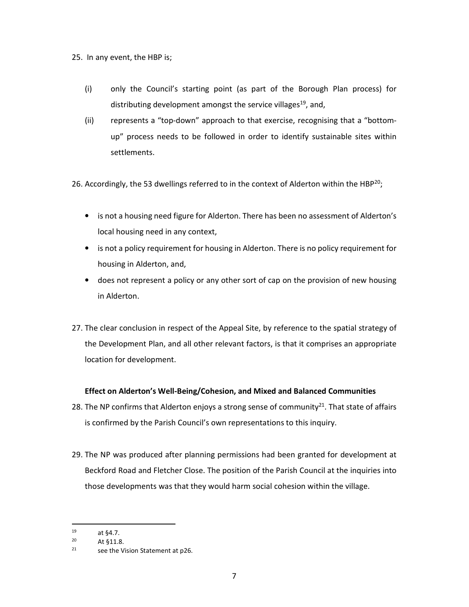25. In any event, the HBP is;

- (i) only the Council's starting point (as part of the Borough Plan process) for distributing development amongst the service villages<sup>19</sup>, and,
- (ii) represents a "top-down" approach to that exercise, recognising that a "bottomup" process needs to be followed in order to identify sustainable sites within settlements.

26. Accordingly, the 53 dwellings referred to in the context of Alderton within the HBP<sup>20</sup>;

- is not a housing need figure for Alderton. There has been no assessment of Alderton's local housing need in any context,
- is not a policy requirement for housing in Alderton. There is no policy requirement for housing in Alderton, and,
- does not represent a policy or any other sort of cap on the provision of new housing in Alderton.
- 27. The clear conclusion in respect of the Appeal Site, by reference to the spatial strategy of the Development Plan, and all other relevant factors, is that it comprises an appropriate location for development.

# **Effect on Alderton's Well-Being/Cohesion, and Mixed and Balanced Communities**

- 28. The NP confirms that Alderton enjoys a strong sense of community<sup>21</sup>. That state of affairs is confirmed by the Parish Council's own representations to this inquiry.
- 29. The NP was produced after planning permissions had been granted for development at Beckford Road and Fletcher Close. The position of the Parish Council at the inquiries into those developments was that they would harm social cohesion within the village.

 $19$  at  $64.7$ .

<sup>20</sup> At §11.8.

<sup>21</sup> see the Vision Statement at p26.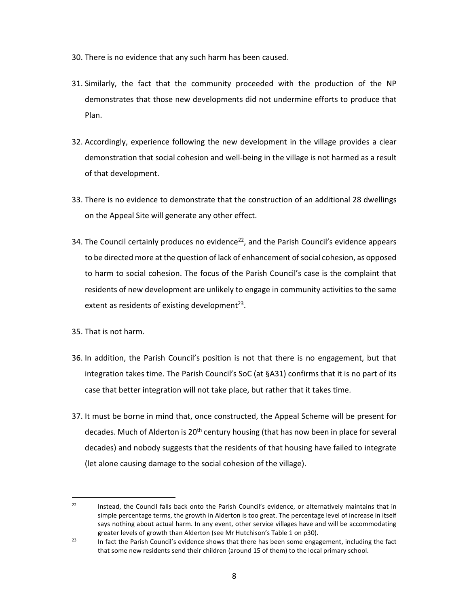- 30. There is no evidence that any such harm has been caused.
- 31. Similarly, the fact that the community proceeded with the production of the NP demonstrates that those new developments did not undermine efforts to produce that Plan.
- 32. Accordingly, experience following the new development in the village provides a clear demonstration that social cohesion and well-being in the village is not harmed as a result of that development.
- 33. There is no evidence to demonstrate that the construction of an additional 28 dwellings on the Appeal Site will generate any other effect.
- 34. The Council certainly produces no evidence<sup>22</sup>, and the Parish Council's evidence appears to be directed more at the question of lack of enhancement of social cohesion, as opposed to harm to social cohesion. The focus of the Parish Council's case is the complaint that residents of new development are unlikely to engage in community activities to the same extent as residents of existing development $^{23}$ .

35. That is not harm.

- 36. In addition, the Parish Council's position is not that there is no engagement, but that integration takes time. The Parish Council's SoC (at §A31) confirms that it is no part of its case that better integration will not take place, but rather that it takes time.
- 37. It must be borne in mind that, once constructed, the Appeal Scheme will be present for decades. Much of Alderton is 20<sup>th</sup> century housing (that has now been in place for several decades) and nobody suggests that the residents of that housing have failed to integrate (let alone causing damage to the social cohesion of the village).

<sup>&</sup>lt;sup>22</sup> Instead, the Council falls back onto the Parish Council's evidence, or alternatively maintains that in simple percentage terms, the growth in Alderton is too great. The percentage level of increase in itself says nothing about actual harm. In any event, other service villages have and will be accommodating greater levels of growth than Alderton (see Mr Hutchison's Table 1 on p30).

<sup>&</sup>lt;sup>23</sup> In fact the Parish Council's evidence shows that there has been some engagement, including the fact that some new residents send their children (around 15 of them) to the local primary school.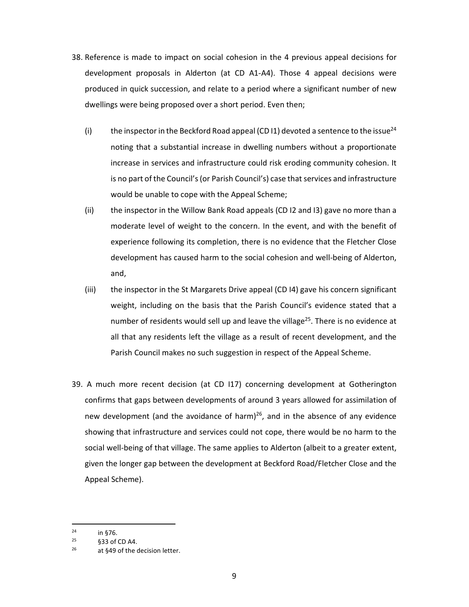- 38. Reference is made to impact on social cohesion in the 4 previous appeal decisions for development proposals in Alderton (at CD A1-A4). Those 4 appeal decisions were produced in quick succession, and relate to a period where a significant number of new dwellings were being proposed over a short period. Even then;
	- (i) the inspector in the Beckford Road appeal (CD I1) devoted a sentence to the issue<sup>24</sup> noting that a substantial increase in dwelling numbers without a proportionate increase in services and infrastructure could risk eroding community cohesion. It is no part of the Council's (or Parish Council's) case that services and infrastructure would be unable to cope with the Appeal Scheme;
	- (ii) the inspector in the Willow Bank Road appeals (CD I2 and I3) gave no more than a moderate level of weight to the concern. In the event, and with the benefit of experience following its completion, there is no evidence that the Fletcher Close development has caused harm to the social cohesion and well-being of Alderton, and,
	- (iii) the inspector in the St Margarets Drive appeal (CD I4) gave his concern significant weight, including on the basis that the Parish Council's evidence stated that a number of residents would sell up and leave the village<sup>25</sup>. There is no evidence at all that any residents left the village as a result of recent development, and the Parish Council makes no such suggestion in respect of the Appeal Scheme.
- 39. A much more recent decision (at CD I17) concerning development at Gotherington confirms that gaps between developments of around 3 years allowed for assimilation of new development (and the avoidance of harm)<sup>26</sup>, and in the absence of any evidence showing that infrastructure and services could not cope, there would be no harm to the social well-being of that village. The same applies to Alderton (albeit to a greater extent, given the longer gap between the development at Beckford Road/Fletcher Close and the Appeal Scheme).

 $24$  in §76.

 $25$   $$33$  of CD A4.

 $26$  at §49 of the decision letter.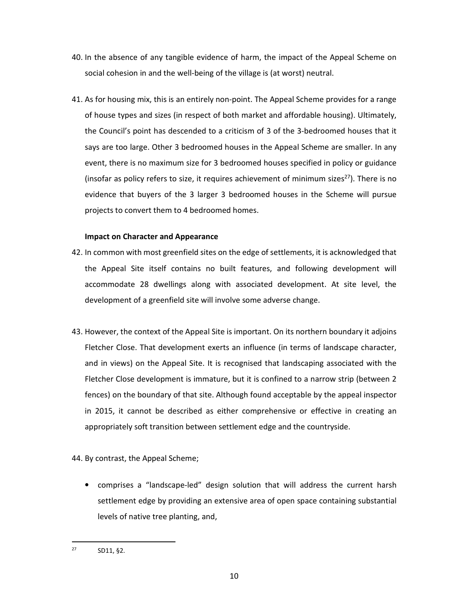- 40. In the absence of any tangible evidence of harm, the impact of the Appeal Scheme on social cohesion in and the well-being of the village is (at worst) neutral.
- 41. As for housing mix, this is an entirely non-point. The Appeal Scheme provides for a range of house types and sizes (in respect of both market and affordable housing). Ultimately, the Council's point has descended to a criticism of 3 of the 3-bedroomed houses that it says are too large. Other 3 bedroomed houses in the Appeal Scheme are smaller. In any event, there is no maximum size for 3 bedroomed houses specified in policy or guidance (insofar as policy refers to size, it requires achievement of minimum sizes<sup>27</sup>). There is no evidence that buyers of the 3 larger 3 bedroomed houses in the Scheme will pursue projects to convert them to 4 bedroomed homes.

### **Impact on Character and Appearance**

- 42. In common with most greenfield sites on the edge of settlements, it is acknowledged that the Appeal Site itself contains no built features, and following development will accommodate 28 dwellings along with associated development. At site level, the development of a greenfield site will involve some adverse change.
- 43. However, the context of the Appeal Site is important. On its northern boundary it adjoins Fletcher Close. That development exerts an influence (in terms of landscape character, and in views) on the Appeal Site. It is recognised that landscaping associated with the Fletcher Close development is immature, but it is confined to a narrow strip (between 2 fences) on the boundary of that site. Although found acceptable by the appeal inspector in 2015, it cannot be described as either comprehensive or effective in creating an appropriately soft transition between settlement edge and the countryside.
- 44. By contrast, the Appeal Scheme;
	- comprises a "landscape-led" design solution that will address the current harsh settlement edge by providing an extensive area of open space containing substantial levels of native tree planting, and,

<sup>27</sup> SD11, §2.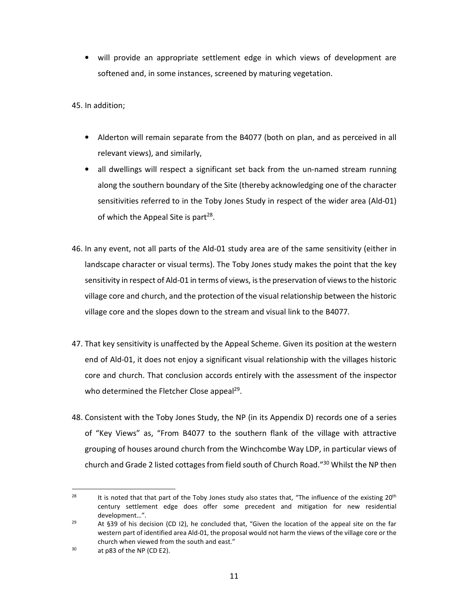• will provide an appropriate settlement edge in which views of development are softened and, in some instances, screened by maturing vegetation.

45. In addition;

- Alderton will remain separate from the B4077 (both on plan, and as perceived in all relevant views), and similarly,
- all dwellings will respect a significant set back from the un-named stream running along the southern boundary of the Site (thereby acknowledging one of the character sensitivities referred to in the Toby Jones Study in respect of the wider area (Ald-01) of which the Appeal Site is part<sup>28</sup>.
- 46. In any event, not all parts of the Ald-01 study area are of the same sensitivity (either in landscape character or visual terms). The Toby Jones study makes the point that the key sensitivity in respect of Ald-01 in terms of views, is the preservation of views to the historic village core and church, and the protection of the visual relationship between the historic village core and the slopes down to the stream and visual link to the B4077.
- 47. That key sensitivity is unaffected by the Appeal Scheme. Given its position at the western end of Ald-01, it does not enjoy a significant visual relationship with the villages historic core and church. That conclusion accords entirely with the assessment of the inspector who determined the Fletcher Close appeal<sup>29</sup>.
- 48. Consistent with the Toby Jones Study, the NP (in its Appendix D) records one of a series of "Key Views" as, "From B4077 to the southern flank of the village with attractive grouping of houses around church from the Winchcombe Way LDP, in particular views of church and Grade 2 listed cottages from field south of Church Road."<sup>30</sup> Whilst the NP then

<sup>&</sup>lt;sup>28</sup> It is noted that that part of the Toby Jones study also states that, "The influence of the existing 20<sup>th</sup> century settlement edge does offer some precedent and mitigation for new residential development…".

<sup>&</sup>lt;sup>29</sup> At §39 of his decision (CD 12), he concluded that, "Given the location of the appeal site on the far western part of identified area Ald-01, the proposal would not harm the views of the village core or the church when viewed from the south and east."

 $30$  at p83 of the NP (CD E2).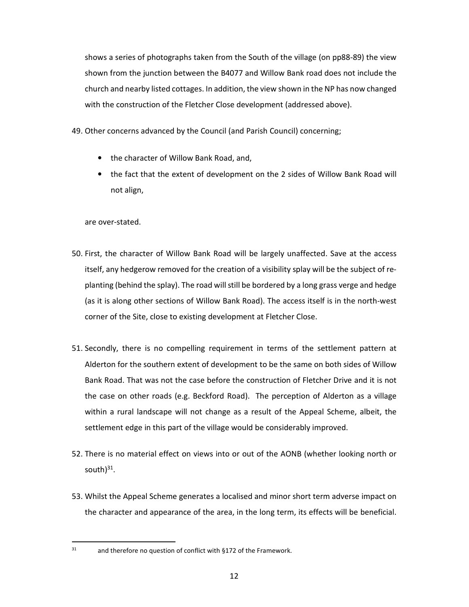shows a series of photographs taken from the South of the village (on pp88-89) the view shown from the junction between the B4077 and Willow Bank road does not include the church and nearby listed cottages. In addition, the view shown in the NP has now changed with the construction of the Fletcher Close development (addressed above).

- 49. Other concerns advanced by the Council (and Parish Council) concerning;
	- the character of Willow Bank Road, and,
	- the fact that the extent of development on the 2 sides of Willow Bank Road will not align,

are over-stated.

- 50. First, the character of Willow Bank Road will be largely unaffected. Save at the access itself, any hedgerow removed for the creation of a visibility splay will be the subject of replanting (behind the splay). The road will still be bordered by a long grass verge and hedge (as it is along other sections of Willow Bank Road). The access itself is in the north-west corner of the Site, close to existing development at Fletcher Close.
- 51. Secondly, there is no compelling requirement in terms of the settlement pattern at Alderton for the southern extent of development to be the same on both sides of Willow Bank Road. That was not the case before the construction of Fletcher Drive and it is not the case on other roads (e.g. Beckford Road). The perception of Alderton as a village within a rural landscape will not change as a result of the Appeal Scheme, albeit, the settlement edge in this part of the village would be considerably improved.
- 52. There is no material effect on views into or out of the AONB (whether looking north or south)<sup>31</sup>.
- 53. Whilst the Appeal Scheme generates a localised and minor short term adverse impact on the character and appearance of the area, in the long term, its effects will be beneficial.

 $31$  and therefore no question of conflict with §172 of the Framework.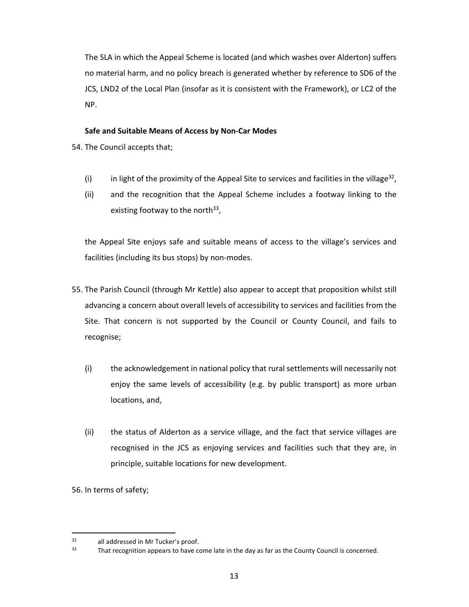The SLA in which the Appeal Scheme is located (and which washes over Alderton) suffers no material harm, and no policy breach is generated whether by reference to SD6 of the JCS, LND2 of the Local Plan (insofar as it is consistent with the Framework), or LC2 of the NP.

# **Safe and Suitable Means of Access by Non-Car Modes**

- 54. The Council accepts that;
	- (i) in light of the proximity of the Appeal Site to services and facilities in the village<sup>32</sup>,
	- (ii) and the recognition that the Appeal Scheme includes a footway linking to the existing footway to the north<sup>33</sup>,

the Appeal Site enjoys safe and suitable means of access to the village's services and facilities (including its bus stops) by non-modes.

- 55. The Parish Council (through Mr Kettle) also appear to accept that proposition whilst still advancing a concern about overall levels of accessibility to services and facilities from the Site. That concern is not supported by the Council or County Council, and fails to recognise;
	- (i) the acknowledgement in national policy that rural settlements will necessarily not enjoy the same levels of accessibility (e.g. by public transport) as more urban locations, and,
	- (ii) the status of Alderton as a service village, and the fact that service villages are recognised in the JCS as enjoying services and facilities such that they are, in principle, suitable locations for new development.

56. In terms of safety;

 $32$  all addressed in Mr Tucker's proof.<br> $33$  That recognition appears to have see

That recognition appears to have come late in the day as far as the County Council is concerned.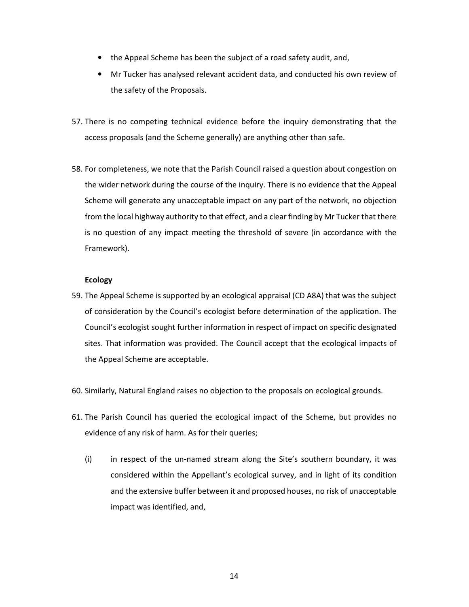- the Appeal Scheme has been the subject of a road safety audit, and,
- Mr Tucker has analysed relevant accident data, and conducted his own review of the safety of the Proposals.
- 57. There is no competing technical evidence before the inquiry demonstrating that the access proposals (and the Scheme generally) are anything other than safe.
- 58. For completeness, we note that the Parish Council raised a question about congestion on the wider network during the course of the inquiry. There is no evidence that the Appeal Scheme will generate any unacceptable impact on any part of the network, no objection from the local highway authority to that effect, and a clear finding by Mr Tucker that there is no question of any impact meeting the threshold of severe (in accordance with the Framework).

# **Ecology**

- 59. The Appeal Scheme is supported by an ecological appraisal (CD A8A) that was the subject of consideration by the Council's ecologist before determination of the application. The Council's ecologist sought further information in respect of impact on specific designated sites. That information was provided. The Council accept that the ecological impacts of the Appeal Scheme are acceptable.
- 60. Similarly, Natural England raises no objection to the proposals on ecological grounds.
- 61. The Parish Council has queried the ecological impact of the Scheme, but provides no evidence of any risk of harm. As for their queries;
	- (i) in respect of the un-named stream along the Site's southern boundary, it was considered within the Appellant's ecological survey, and in light of its condition and the extensive buffer between it and proposed houses, no risk of unacceptable impact was identified, and,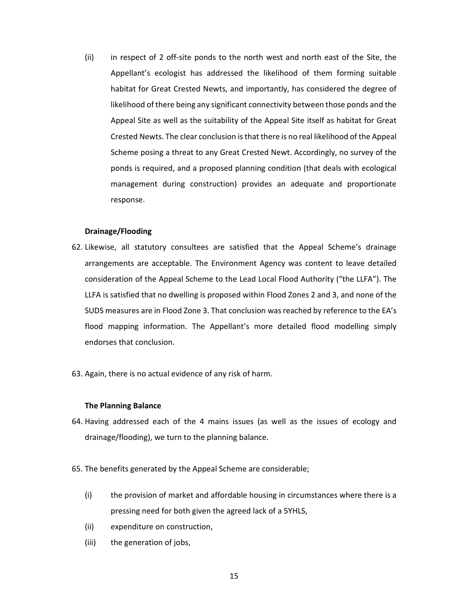(ii) in respect of 2 off-site ponds to the north west and north east of the Site, the Appellant's ecologist has addressed the likelihood of them forming suitable habitat for Great Crested Newts, and importantly, has considered the degree of likelihood of there being any significant connectivity between those ponds and the Appeal Site as well as the suitability of the Appeal Site itself as habitat for Great Crested Newts. The clear conclusion is that there is no real likelihood of the Appeal Scheme posing a threat to any Great Crested Newt. Accordingly, no survey of the ponds is required, and a proposed planning condition (that deals with ecological management during construction) provides an adequate and proportionate response.

#### **Drainage/Flooding**

- 62. Likewise, all statutory consultees are satisfied that the Appeal Scheme's drainage arrangements are acceptable. The Environment Agency was content to leave detailed consideration of the Appeal Scheme to the Lead Local Flood Authority ("the LLFA"). The LLFA is satisfied that no dwelling is proposed within Flood Zones 2 and 3, and none of the SUDS measures are in Flood Zone 3. That conclusion was reached by reference to the EA's flood mapping information. The Appellant's more detailed flood modelling simply endorses that conclusion.
- 63. Again, there is no actual evidence of any risk of harm.

#### **The Planning Balance**

- 64. Having addressed each of the 4 mains issues (as well as the issues of ecology and drainage/flooding), we turn to the planning balance.
- 65. The benefits generated by the Appeal Scheme are considerable;
	- (i) the provision of market and affordable housing in circumstances where there is a pressing need for both given the agreed lack of a 5YHLS,
	- (ii) expenditure on construction,
	- (iii) the generation of jobs,

15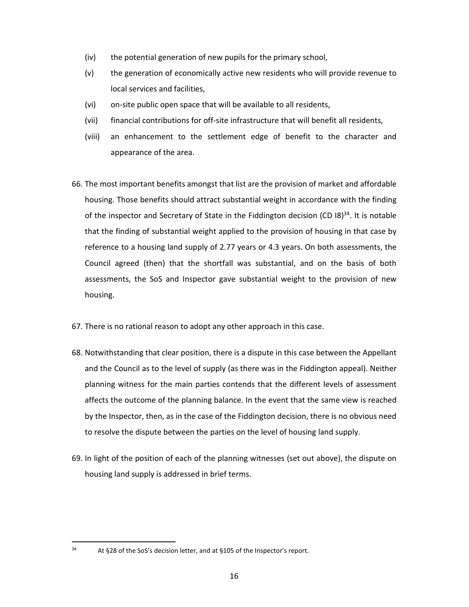- (iv) the potential generation of new pupils for the primary school,
- (v) the generation of economically active new residents who will provide revenue to local services and facilities,
- (vi) on-site public open space that will be available to all residents,
- (vii) financial contributions for off-site infrastructure that will benefit all residents,
- (viii) an enhancement to the settlement edge of benefit to the character and appearance of the area.
- 66. The most important benefits amongst that list are the provision of market and affordable housing. Those benefits should attract substantial weight in accordance with the finding of the inspector and Secretary of State in the Fiddington decision (CD  $18$ )<sup>34</sup>. It is notable that the finding of substantial weight applied to the provision of housing in that case by reference to a housing land supply of 2.77 years or 4.3 years. On both assessments, the Council agreed (then) that the shortfall was substantial, and on the basis of both assessments, the SoS and Inspector gave substantial weight to the provision of new housing.
- 67. There is no rational reason to adopt any other approach in this case.
- 68. Notwithstanding that clear position, there is a dispute in this case between the Appellant and the Council as to the level of supply (as there was in the Fiddington appeal). Neither planning witness for the main parties contends that the different levels of assessment affects the outcome of the planning balance. In the event that the same view is reached by the Inspector, then, as in the case of the Fiddington decision, there is no obvious need to resolve the dispute between the parties on the level of housing land supply.
- 69. In light of the position of each of the planning witnesses (set out above), the dispute on housing land supply is addressed in brief terms.

 $34$  At §28 of the SoS's decision letter, and at §105 of the Inspector's report.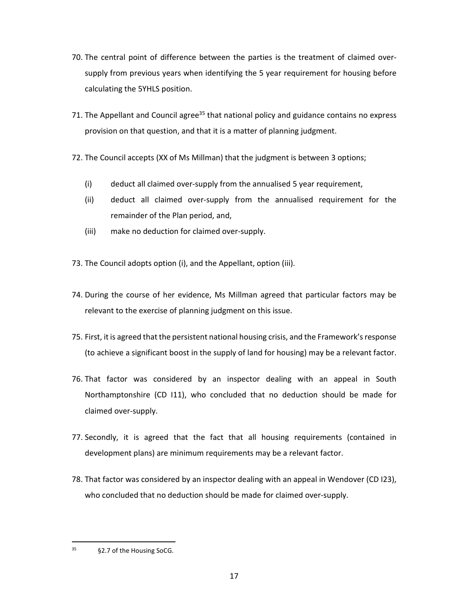- 70. The central point of difference between the parties is the treatment of claimed oversupply from previous years when identifying the 5 year requirement for housing before calculating the 5YHLS position.
- 71. The Appellant and Council agree<sup>35</sup> that national policy and guidance contains no express provision on that question, and that it is a matter of planning judgment.
- 72. The Council accepts (XX of Ms Millman) that the judgment is between 3 options;
	- (i) deduct all claimed over-supply from the annualised 5 year requirement,
	- (ii) deduct all claimed over-supply from the annualised requirement for the remainder of the Plan period, and,
	- (iii) make no deduction for claimed over-supply.
- 73. The Council adopts option (i), and the Appellant, option (iii).
- 74. During the course of her evidence, Ms Millman agreed that particular factors may be relevant to the exercise of planning judgment on this issue.
- 75. First, it is agreed that the persistent national housing crisis, and the Framework's response (to achieve a significant boost in the supply of land for housing) may be a relevant factor.
- 76. That factor was considered by an inspector dealing with an appeal in South Northamptonshire (CD I11), who concluded that no deduction should be made for claimed over-supply.
- 77. Secondly, it is agreed that the fact that all housing requirements (contained in development plans) are minimum requirements may be a relevant factor.
- 78. That factor was considered by an inspector dealing with an appeal in Wendover (CD I23), who concluded that no deduction should be made for claimed over-supply.

<sup>35</sup> §2.7 of the Housing SoCG.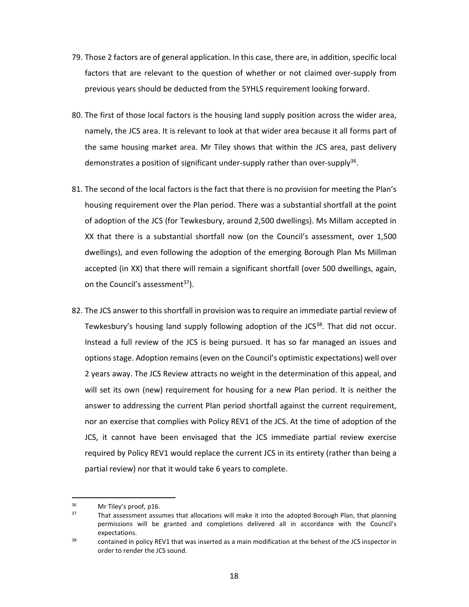- 79. Those 2 factors are of general application. In this case, there are, in addition, specific local factors that are relevant to the question of whether or not claimed over-supply from previous years should be deducted from the 5YHLS requirement looking forward.
- 80. The first of those local factors is the housing land supply position across the wider area, namely, the JCS area. It is relevant to look at that wider area because it all forms part of the same housing market area. Mr Tiley shows that within the JCS area, past delivery demonstrates a position of significant under-supply rather than over-supply<sup>36</sup>.
- 81. The second of the local factors is the fact that there is no provision for meeting the Plan's housing requirement over the Plan period. There was a substantial shortfall at the point of adoption of the JCS (for Tewkesbury, around 2,500 dwellings). Ms Millam accepted in XX that there is a substantial shortfall now (on the Council's assessment, over 1,500 dwellings), and even following the adoption of the emerging Borough Plan Ms Millman accepted (in XX) that there will remain a significant shortfall (over 500 dwellings, again, on the Council's assessment<sup>37</sup>).
- 82. The JCS answer to this shortfall in provision was to require an immediate partial review of Tewkesbury's housing land supply following adoption of the  $JCS<sup>38</sup>$ . That did not occur. Instead a full review of the JCS is being pursued. It has so far managed an issues and options stage. Adoption remains (even on the Council's optimistic expectations) well over 2 years away. The JCS Review attracts no weight in the determination of this appeal, and will set its own (new) requirement for housing for a new Plan period. It is neither the answer to addressing the current Plan period shortfall against the current requirement, nor an exercise that complies with Policy REV1 of the JCS. At the time of adoption of the JCS, it cannot have been envisaged that the JCS immediate partial review exercise required by Policy REV1 would replace the current JCS in its entirety (rather than being a partial review) nor that it would take 6 years to complete.

 $\frac{36}{37}$  Mr Tiley's proof, p16.

That assessment assumes that allocations will make it into the adopted Borough Plan, that planning permissions will be granted and completions delivered all in accordance with the Council's expectations.

<sup>&</sup>lt;sup>38</sup> contained in policy REV1 that was inserted as a main modification at the behest of the JCS inspector in order to render the JCS sound.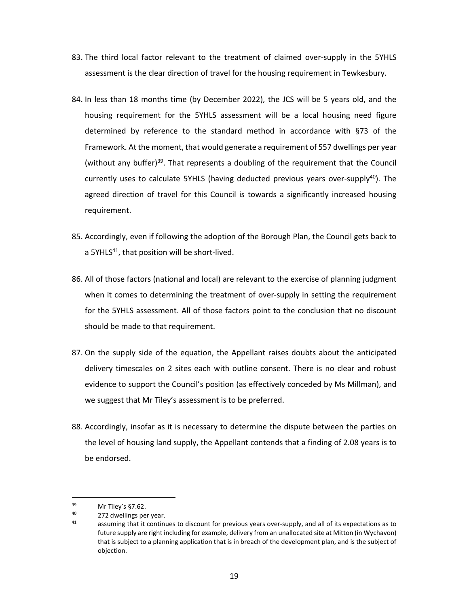- 83. The third local factor relevant to the treatment of claimed over-supply in the 5YHLS assessment is the clear direction of travel for the housing requirement in Tewkesbury.
- 84. In less than 18 months time (by December 2022), the JCS will be 5 years old, and the housing requirement for the 5YHLS assessment will be a local housing need figure determined by reference to the standard method in accordance with §73 of the Framework. At the moment, that would generate a requirement of 557 dwellings per year (without any buffer)<sup>39</sup>. That represents a doubling of the requirement that the Council currently uses to calculate 5YHLS (having deducted previous years over-supply $40$ ). The agreed direction of travel for this Council is towards a significantly increased housing requirement.
- 85. Accordingly, even if following the adoption of the Borough Plan, the Council gets back to a 5YHLS<sup>41</sup>, that position will be short-lived.
- 86. All of those factors (national and local) are relevant to the exercise of planning judgment when it comes to determining the treatment of over-supply in setting the requirement for the 5YHLS assessment. All of those factors point to the conclusion that no discount should be made to that requirement.
- 87. On the supply side of the equation, the Appellant raises doubts about the anticipated delivery timescales on 2 sites each with outline consent. There is no clear and robust evidence to support the Council's position (as effectively conceded by Ms Millman), and we suggest that Mr Tiley's assessment is to be preferred.
- 88. Accordingly, insofar as it is necessary to determine the dispute between the parties on the level of housing land supply, the Appellant contends that a finding of 2.08 years is to be endorsed.

 $39$  Mr Tiley's §7.62.

 $^{40}$  272 dwellings per year.

assuming that it continues to discount for previous years over-supply, and all of its expectations as to future supply are right including for example, delivery from an unallocated site at Mitton (in Wychavon) that is subject to a planning application that is in breach of the development plan, and is the subject of objection.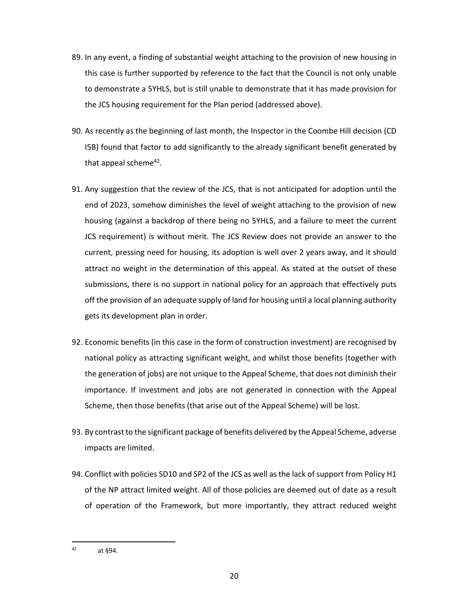- 89. In any event, a finding of substantial weight attaching to the provision of new housing in this case is further supported by reference to the fact that the Council is not only unable to demonstrate a 5YHLS, but is still unable to demonstrate that it has made provision for the JCS housing requirement for the Plan period (addressed above).
- 90. As recently as the beginning of last month, the Inspector in the Coombe Hill decision (CD I5B) found that factor to add significantly to the already significant benefit generated by that appeal scheme<sup>42</sup>.
- 91. Any suggestion that the review of the JCS, that is not anticipated for adoption until the end of 2023, somehow diminishes the level of weight attaching to the provision of new housing (against a backdrop of there being no 5YHLS, and a failure to meet the current JCS requirement) is without merit. The JCS Review does not provide an answer to the current, pressing need for housing, its adoption is well over 2 years away, and it should attract no weight in the determination of this appeal. As stated at the outset of these submissions, there is no support in national policy for an approach that effectively puts off the provision of an adequate supply of land for housing until a local planning authority gets its development plan in order.
- 92. Economic benefits (in this case in the form of construction investment) are recognised by national policy as attracting significant weight, and whilst those benefits (together with the generation of jobs) are not unique to the Appeal Scheme, that does not diminish their importance. If investment and jobs are not generated in connection with the Appeal Scheme, then those benefits (that arise out of the Appeal Scheme) will be lost.
- 93. By contrast to the significant package of benefits delivered by the Appeal Scheme, adverse impacts are limited.
- 94. Conflict with policies SD10 and SP2 of the JCS as well as the lack of support from Policy H1 of the NP attract limited weight. All of those policies are deemed out of date as a result of operation of the Framework, but more importantly, they attract reduced weight

 $42$  at §94.